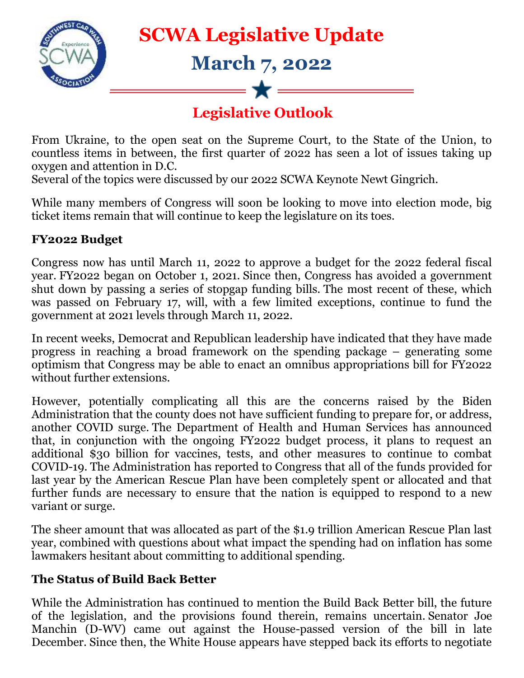

From Ukraine, to the open seat on the Supreme Court, to the State of the Union, to countless items in between, the first quarter of 2022 has seen a lot of issues taking up oxygen and attention in D.C.

Several of the topics were discussed by our 2022 SCWA Keynote Newt Gingrich.

While many members of Congress will soon be looking to move into election mode, big ticket items remain that will continue to keep the legislature on its toes.

## **FY2022 Budget**

Congress now has until March 11, 2022 to approve a budget for the 2022 federal fiscal year. FY2022 began on October 1, 2021. Since then, Congress has avoided a government shut down by passing a series of stopgap funding bills. The most recent of these, which was passed on February 17, will, with a few limited exceptions, continue to fund the government at 2021 levels through March 11, 2022.

In recent weeks, Democrat and Republican leadership have indicated that they have made progress in reaching a broad framework on the spending package – generating some optimism that Congress may be able to enact an omnibus appropriations bill for FY2022 without further extensions.

However, potentially complicating all this are the concerns raised by the Biden Administration that the county does not have sufficient funding to prepare for, or address, another COVID surge. The Department of Health and Human Services has announced that, in conjunction with the ongoing FY2022 budget process, it plans to request an additional \$30 billion for vaccines, tests, and other measures to continue to combat COVID-19. The Administration has reported to Congress that all of the funds provided for last year by the American Rescue Plan have been completely spent or allocated and that further funds are necessary to ensure that the nation is equipped to respond to a new variant or surge.

The sheer amount that was allocated as part of the \$1.9 trillion American Rescue Plan last year, combined with questions about what impact the spending had on inflation has some lawmakers hesitant about committing to additional spending.

## **The Status of Build Back Better**

While the Administration has continued to mention the Build Back Better bill, the future of the legislation, and the provisions found therein, remains uncertain. Senator Joe Manchin (D-WV) came out against the House-passed version of the bill in late December. Since then, the White House appears have stepped back its efforts to negotiate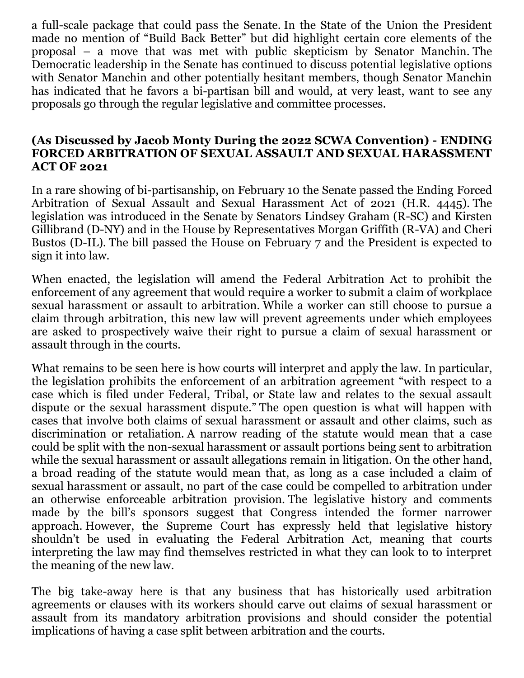a full-scale package that could pass the Senate. In the State of the Union the President made no mention of "Build Back Better" but did highlight certain core elements of the proposal – a move that was met with public skepticism by Senator Manchin. The Democratic leadership in the Senate has continued to discuss potential legislative options with Senator Manchin and other potentially hesitant members, though Senator Manchin has indicated that he favors a bi-partisan bill and would, at very least, want to see any proposals go through the regular legislative and committee processes.

## **(As Discussed by Jacob Monty During the 2022 SCWA Convention) - ENDING FORCED ARBITRATION OF SEXUAL ASSAULT AND SEXUAL HARASSMENT ACT OF 2021**

In a rare showing of bi-partisanship, on February 10 the Senate passed the Ending Forced Arbitration of Sexual Assault and Sexual Harassment Act of 2021 (H.R. 4445). The legislation was introduced in the Senate by Senators Lindsey Graham (R-SC) and Kirsten Gillibrand (D-NY) and in the House by Representatives Morgan Griffith (R-VA) and Cheri Bustos (D-IL). The bill passed the House on February 7 and the President is expected to sign it into law.

When enacted, the legislation will amend the Federal Arbitration Act to prohibit the enforcement of any agreement that would require a worker to submit a claim of workplace sexual harassment or assault to arbitration. While a worker can still choose to pursue a claim through arbitration, this new law will prevent agreements under which employees are asked to prospectively waive their right to pursue a claim of sexual harassment or assault through in the courts.

What remains to be seen here is how courts will interpret and apply the law. In particular, the legislation prohibits the enforcement of an arbitration agreement "with respect to a case which is filed under Federal, Tribal, or State law and relates to the sexual assault dispute or the sexual harassment dispute." The open question is what will happen with cases that involve both claims of sexual harassment or assault and other claims, such as discrimination or retaliation. A narrow reading of the statute would mean that a case could be split with the non-sexual harassment or assault portions being sent to arbitration while the sexual harassment or assault allegations remain in litigation. On the other hand, a broad reading of the statute would mean that, as long as a case included a claim of sexual harassment or assault, no part of the case could be compelled to arbitration under an otherwise enforceable arbitration provision. The legislative history and comments made by the bill's sponsors suggest that Congress intended the former narrower approach. However, the Supreme Court has expressly held that legislative history shouldn't be used in evaluating the Federal Arbitration Act, meaning that courts interpreting the law may find themselves restricted in what they can look to to interpret the meaning of the new law.

The big take-away here is that any business that has historically used arbitration agreements or clauses with its workers should carve out claims of sexual harassment or assault from its mandatory arbitration provisions and should consider the potential implications of having a case split between arbitration and the courts.